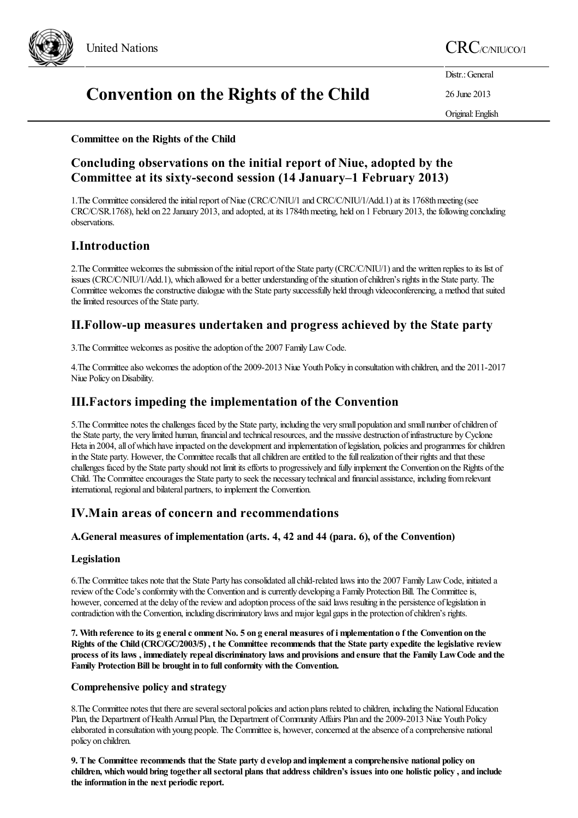

# United Nations CRC/C/NIU/CO/1

Distr.: General

26 June 2013

Original:English

# **Convention on the Rights of the Child**

# **Committee on the Rights of the Child**

# **Concluding observations on the initial report of Niue, adopted by the Committee at its sixty-second session (14 January–1 February 2013)**

1. The Committee considered the initial report of Niue (CRC/C/NIU/1 and CRC/C/NIU/1/Add.1) at its 1768th meeting (see CRC/C/SR.1768), held on 22 January 2013, and adopted, at its 1784th meeting, held on 1 February 2013, the following concluding observations.

# **I.Introduction**

2. The Committee welcomes the submission of the initial report of the State party (CRC/C/NIU/1) and the written replies to its list of issues (CRC/C/NIU/1/Add.1), which allowed fora better understanding ofthesituation ofchildren's rights in the State party. The Committee welcomes the constructive dialogue with the State party successfully held through videoconferencing, a method that suited the limited resources of the State party.

# **II.Follow-up measures undertaken and progress achieved by the State party**

3. The Committee welcomes as positive the adoption of the 2007 Family Law Code.

4.The Committeealso welcomes theadoption ofthe 2009-2013 Niue Youth Policy in consultationwith children,and the 2011-2017 Niue Policy on Disability.

# **III.Factors impeding the implementation of the Convention**

5. The Committee notes the challenges faced by the State party, including the very small population and small number of children of the State party, the very limited human, financial and technical resources, and the massive destruction of infrastructure by Cyclone Heta in 2004, all of which have impacted on the development and implementation of legislation, policies and programmes for children in the State party. However, the Committee recalls that all children are entitled to the full realization of their rights and that these challenges faced by the State party should not limit itsefforts to progressively and fully implement the Convention on the Rights ofthe Child. The Committee encourages the State party to seek the necessary technical and financial assistance, including from relevant international, regional and bilateral partners, to implement the Convention.

# **IV.Main areas of concern and recommendations**

# **A.General measures of implementation (arts. 4, 42 and 44 (para. 6), of the Convention)**

# **Legislation**

6.The Committeetakes notethat the State Party hasconsolidated allchild-related laws into the 2007 FamilyLawCode, initiated a review of the Code's conformity with the Convention and is currently developing a Family Protection Bill. The Committee is, however, concerned at the delay of the review and adoption process of the said laws resulting in the persistence of legislation in contradiction with the Convention, including discriminatory laws and major legal gaps in the protection of children's rights.

7. With reference to its g eneral c omment No. 5 on g eneral measures of i mplementation of the Convention on the Rights of the Child (CRC/GC/2003/5), the Committee recommends that the State party expedite the legislative review process of its laws, immediately repeal discriminatory laws and provisions and ensure that the Family Law Code and the **Family** Protection Bill be brought in to full conformity with the Convention.

# **Comprehensive policy and strategy**

8. The Committee notes that there are several sectoral policies and action plans related to children, including the National Education Plan, the Department of Health Annual Plan, the Department of Community Affairs Plan and the 2009-2013 Niue Youth Policy elaborated in consultation with young people. The Committee is, however, concerned at the absence of a comprehensive national policy on children.

9. The Committee recommends that the State party d evelop and implement a comprehensive national policy on children, which would bring together all sectoral plans that address children's issues into one holistic policy, and include **the information in the next periodicreport.**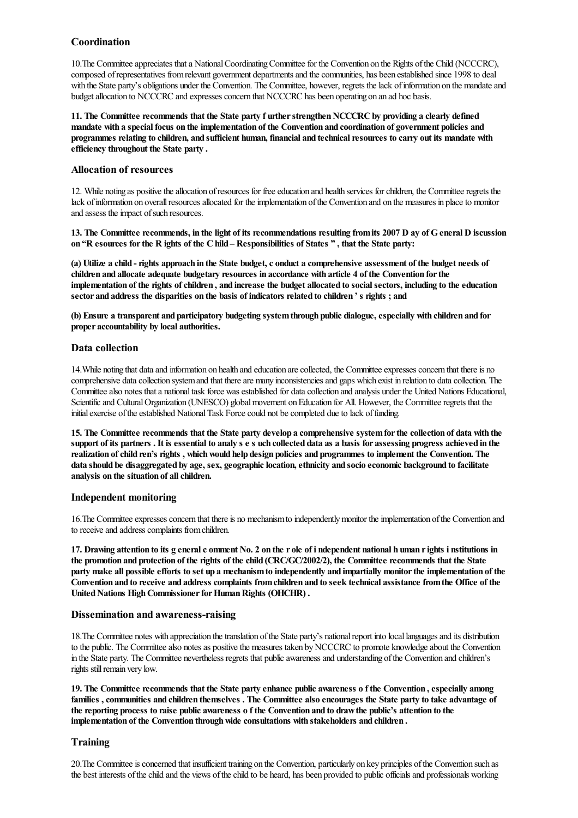# **Coordination**

10. The Committee appreciates that a National Coordinating Committee for the Convention on the Rights of the Child (NCCCRC), composed ofrepresentatives fromrelevant government departmentsand thecommunities, has been established since 1998 to deal with the State party's obligations under the Convention. The Committee, however, regrets the lack of information on the mandate and budget allocation to NCCCRC and expresses concern that NCCCRC has been operating on an ad hoc basis.

**11. The Committee recommends that the State party f urtherstrengthenNCCCRCby providing a clearly defined** mandate with a special focus on the implementation of the Convention and coordination of government policies and programmes relating to children, and sufficient human, financial and technical resources to carry out its mandate with **efficiency throughout the State party .**

#### **Allocation of resources**

12. While noting as positive the allocation of resources for free education and health services for children, the Committee regrets the lack of information on overall resources allocated for the implementation of the Convention and on the measures in place to monitor and assess the impact of such resources.

13. The Committee recommends, in the light of its recommendations resulting from its 2007 D ay of G eneral D iscussion on "R esources for the R ights of the C hild - Responsibilities of States ", that the State party:

(a) Utilize a child - rights approach in the State budget, c onduct a comprehensive assessment of the budget needs of **children and allocate adequate budgetary resources in accordance with article 4 of the Convention forthe** implementation of the rights of children, and increase the budget allocated to social sectors, including to the education **sector and address the disparities on the basis of indicators related to children ' s rights ; and**

**(b) Ensure a transparent and participatory budgeting systemthrough public dialogue,especially with children and for proper accountability by local authorities.**

#### **Data collection**

14. While noting that data and information on health and education are collected, the Committee expresses concern that there is no comprehensive data collection system and that there are many inconsistencies and gaps which exist in relation to data collection. The Committee also notes that a national task force was established for data collection and analysis under the United Nations Educational, Scientific and Cultural Organization (UNESCO) global movement on Education for All. However, the Committee regrets that the initial exercise of the established National Task Force could not be completed due to lack of funding.

15. The Committee recommends that the State party develop a comprehensive system for the collection of data with the support of its partners. It is essential to analy s e s uch collected data as a basis for assessing progress achieved in the realization of child ren's rights, which would help design policies and programmes to implement the Convention. The **data should be disaggregated by age, sex, geographiclocation,ethnicity and socio economic background to facilitate analysis on the situation of allchildren.**

#### **Independent monitoring**

16. The Committee expresses concern that there is no mechanism to independently monitor the implementation of the Convention and to receive and address complaints from children.

17. Drawing attention to its g eneral c omment No. 2 on the r ole of i ndependent national h uman r ights i nstitutions in the promotion and protection of the rights of the child (CRC/GC/2002/2), the Committee recommends that the State party make all possible efforts to set up a mechanism to independently and impartially monitor the implementation of the Convention and to receive and address complaints from children and to seek technical assistance from the Office of the **United Nations High Commissioner for Human Rights (OHCHR) .** 

#### **Dissemination and awareness-raising**

18. The Committee notes with appreciation the translation of the State party's national report into local languages and its distribution to the public. The Committee also notes as positive the measures taken by NCCCRC to promote knowledge about the Convention in the State party. The Committee nevertheless regrets that public awareness and understanding of the Convention and children's rights still remain very low.

19. The Committee recommends that the State party enhance public awareness of the Convention, especially among families, communities and children themselves. The Committee also encourages the State party to take advantage of the reporting process to raise public awareness of the Convention and to draw the public's attention to the **implementation of the Convention throughwide consultations with stakeholders and children .**

#### **Training**

20. The Committee is concerned that insufficient training on the Convention, particularly on key principles of the Convention such as the best interests of the child and the views of the child to be heard, has been provided to public officials and professionals working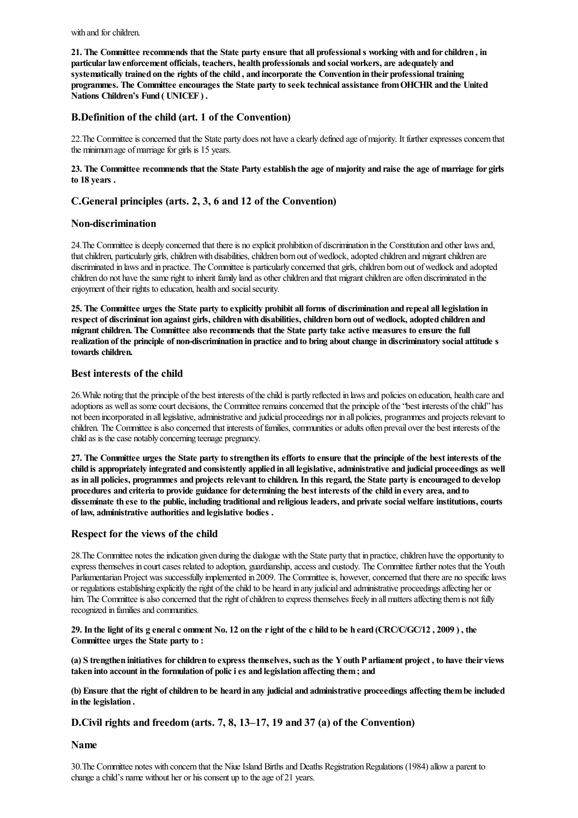with and for children.

21. The Committee recommends that the State party ensure that all professional s working with and for children, in **particularlawenforcement officials, teachers, health professionals and social workers, are adequately and** systematically trained on the rights of the child, and incorporate the Convention in their professional training **programmes. The Committee encourages the State party to seek technical assistance fromOHCHR and the United Nations Children's Fund ( UNICEF ) .**

# **B.Definition of the child (art. 1 of the Convention)**

22. The Committee is concerned that the State party does not have a clearly defined age of majority. It further expresses concern that the minimum age of marriage for girls is 15 years.

23. The Committee recommends that the State Party establish the age of majority and raise the age of marriage for girls **to 18 years .**

# **C.General principles (arts. 2, 3, 6 and 12 of the Convention)**

# **Non-discrimination**

24.The Committeeis deeply concerned that thereis no explicit prohibition of discrimination in the Constitution and other lawsand, that children, particularly girls, children with disabilities, children born out of wedlock, adopted children and migrant children are discriminated in laws and in practice. The Committee is particularly concerned that girls, children born out of wedlock and adopted children do not have the same right to inherit family land as other children and that migrant children are often discriminated in the enjoyment of their rights to education, health and social security.

25. The Committee urges the State party to explicitly prohibit all forms of discrimination and repeal all legislation in **respect of discriminat ion against girls,childrenwith disabilities,children born out of wedlock, adopted children and migrantchildren. The Committee also recommends that the State party take active measures to ensure the full** realization of the principle of non-discrimination in practice and to bring about change in discriminatory social attitude s **towards children.**

#### **Best interests of the child**

26.While noting that the principle ofthe best interests ofthechild is partly reflected in lawsand policies on education, health careand adoptions as well as some court decisions, the Committee remains concerned that the principle of the "best interests of the child" has not been incorporated in all legislative, administrative and judicial proceedings nor in all policies, programmes and projects relevant to children. The Committee is also concerned that interests of families, communities or adults often prevail over the best interests of the child as is thecase notably concerning teenage pregnancy.

27. The Committee urges the State party to strengthen its efforts to ensure that the principle of the best interests of the child is appropriately integrated and consistently applied in all legislative, administrative and judicial proceedings as well as in all policies, programmes and projects relevant to children. In this regard, the State party is encouraged to develop procedures and criteria to provide guidance for determining the best interests of the child in every area, and to disseminate th ese to the public, including traditional and religious leaders, and private social welfare institutions, courts **of law, administrative authorities and legislative bodies .**

# **Respect forthe views of the child**

28. The Committee notes the indication given during the dialogue with the State party that in practice, children have the opportunity to express themselves in court cases related to adoption, guardianship, access and custody. The Committee further notes that the Youth Parliamentarian Project was successfully implemented in 2009. The Committee is, however, concerned that there are no specific laws or regulationsestablishing explicitly theright ofthechild to be heard in any judicialand administrative proceedingsaffecting her or him. The Committee is also concerned that the right of children to express themselves freely in all matters affecting them is not fully recognized in families and communities.

29. In the light of its g eneral c omment No. 12 on the right of the c hild to be h eard (CRC/C/GC/12, 2009), the **Committee urges the State party to :**

(a) S trengthen initiatives for children to express themselves, such as the Y outh P arliament project, to have their views **taken into account in the formulation of policies and legislation affecting them; and**

(b) Ensure that the right of children to be heard in any judicial and administrative proceedings affecting them be included **in the legislation .**

#### **D.Civil rights and freedom (arts. 7, 8, 13–17, 19 and 37 (a) of the Convention)**

**Name**

30. The Committee notes with concern that the Niue Island Births and Deaths Registration Regulations (1984) allow a parent to change a child's name without her or his consent up to the age of 21 years.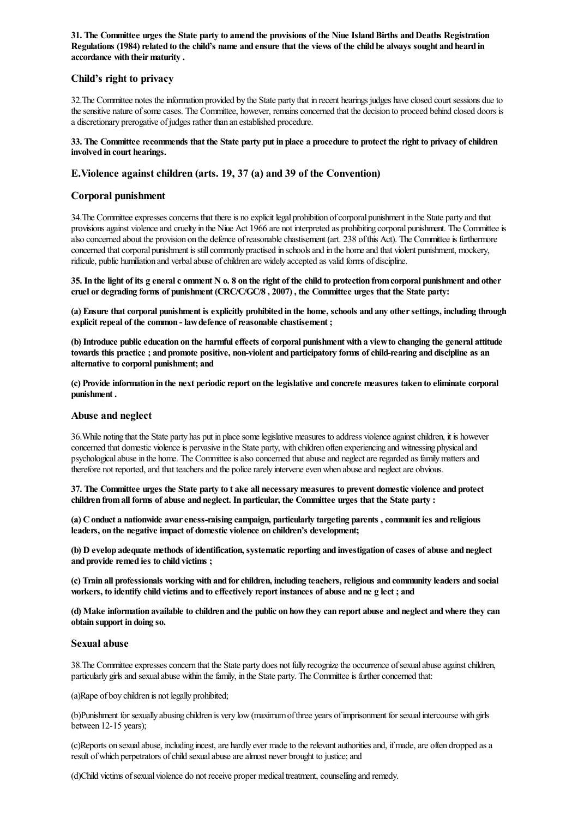31. The Committee urges the State party to amend the provisions of the Niue Island Births and Deaths Registration Regulations (1984) related to the child's name and ensure that the views of the child be always sought and heard in **accordance with theirmaturity .**

# **Child's right to privacy**

32. The Committee notes the information provided by the State party that in recent hearings judges have closed court sessions due to the sensitive nature of some cases. The Committee, however, remains concerned that the decision to proceed behind closed doors is a discretionary prerogative ofjudges rather than an established procedure.

#### 33. The Committee recommends that the State party put in place a procedure to protect the right to privacy of children **involved in court hearings.**

# **E.Violence against children (arts. 19, 37 (a) and 39 of the Convention)**

# **Corporal punishment**

34. The Committee expresses concerns that there is no explicit legal prohibition of corporal punishment in the State party and that provisions against violence and cruelty in the Niue Act 1966 are not interpreted as prohibiting corporal punishment. The Committee is also concerned about the provision on the defence of reasonable chastisement (art. 238 of this Act). The Committee is furthermore concerned that corporal punishment is still commonly practised in schools and in the home and that violent punishment, mockery, ridicule, public humiliation and verbal abuse of children are widely accepted as valid forms of discipline.

35. In the light of its g eneral c omment N o. 8 on the right of the child to protection from corporal punishment and other **cruel or degrading forms of punishment (CRC/C/GC/8 , 2007) , the Committee urges that the State party:**

(a) Ensure that corporal punishment is explicitly prohibited in the home, schools and any other settings, including through  $\epsilon$  **explicit repeal of the common - law defence of reasonable chastisement ;** 

**(b) Introduce publiceducation on the harmfuleffects ofcorporal punishment with a viewto changing the general attitude** towards this practice; and promote positive, non-violent and participatory forms of child-rearing and discipline as an **alternative to corporal punishment; and**

(c) Provide information in the next periodic report on the legislative and concrete measures taken to eliminate corporal **punishment .**

#### **Abuse and neglect**

36.While noting that the State party has put in placesomelegislative measures to address violenceagainstchildren, it is however concerned that domestic violence is pervasive in the State party, with children often experiencing and witnessing physical and psychological abuse in the home. The Committee is also concerned that abuse and neglect are regarded as family matters and therefore not reported, and that teachers and the police rarely intervene even when abuse and neglect are obvious.

37. The Committee urges the State party to t ake all necessary measures to prevent domestic violence and protect **children fromall forms of abuse and neglect. In particular, the Committee urges that the State party :**

**(a) Conduct a nationwide awareness-raising campaign, particularly targeting parents ,communit ies and religious leaders, on the negative impact of domestic violence on children's development;**

**(b) D evelop adequate methods of identification, systematicreporting and investigation ofcases of abuse and neglect and provide remed ies to child victims ;**

**(c) Train all professionals working with and forchildren, including teachers,religious and community leaders and social** workers, to identify child victims and to effectively report instances of abuse and ne g lect; and

(d) Make information available to children and the public on how they can report abuse and neglect and where they can **obtain support in doing so.**

#### **Sexual abuse**

38. The Committee expresses concern that the State party does not fully recognize the occurrence of sexual abuse against children. particularly girls and sexual abuse within the family, in the State party. The Committee is further concerned that:

(a)Rape of boy children is not legally prohibited;

(b)Punishment for sexually abusing children is very low(maximumofthree years ofimprisonment for sexualintercourse with girls between 12-15 years);

(c)Reports on sexualabuse, including incest,are hardly ever madeto therelevantauthoritiesand, ifmade,are often dropped asa result of which perpetrators of child sexual abuse are almost never brought to justice; and

(d)Child victims ofsexual violence do not receive proper medicaltreatment,counselling and remedy.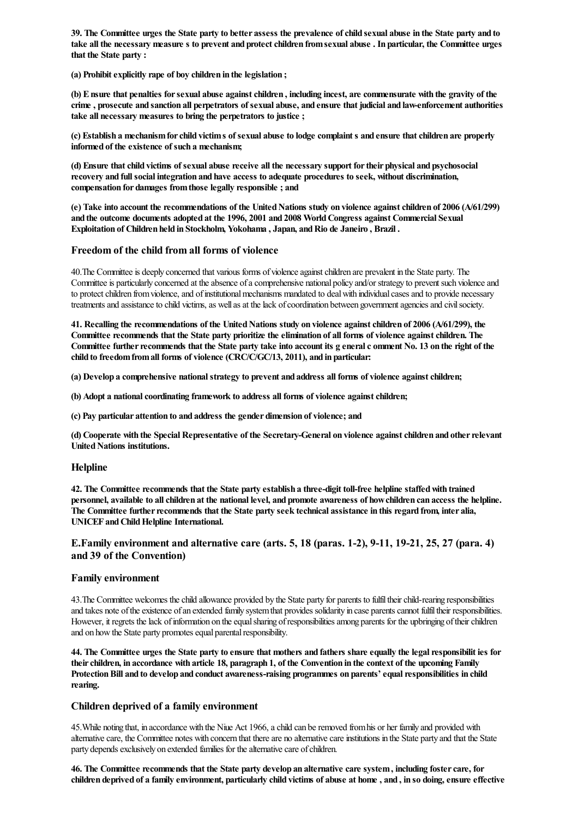39. The Committee urges the State party to better assess the prevalence of child sexual abuse in the State party and to take all the necessary measure s to prevent and protect children from sexual abuse . In particular, the Committee urges **that the State party :**

**(a) Prohibitexplicitly rape of boy children in the legislation ;**

(b) E nsure that penalties for sexual abuse against children, including incest, are commensurate with the gravity of the crime, prosecute and sanction all perpetrators of sexual abuse, and ensure that judicial and law-enforcement authorities **take all necessary measures to bring the perpetrators to justice ;**

(c) Establish a mechanism for child victim s of sexual abuse to lodge complaint s and ensure that children are properly **informed of the existence of such a mechanism;**

(d) Ensure that child victims of sexual abuse receive all the necessary support for their physical and psychosocial **recovery and fullsocial integration and have access to adequate procedures to seek, without discrimination, compensation for damages fromthose legally responsible ; and**

(e) Take into account the recommendations of the United Nations study on violence against children of 2006 (A/61/299) **and the outcome documents adopted at the 1996, 2001 and 2008 WorldCongress against Commercial Sexual Exploitation of Children held in Stockholm, Yokohama , Japan, andRio de Janeiro , Brazil .**

# **Freedom of the child from all forms of violence**

40. The Committee is deeply concerned that various forms of violence against children are prevalent in the State party. The Committee is particularly concerned at the absence of a comprehensive national policy and/or strategy to prevent such violence and to protect children from violence, and of institutional mechanisms mandated to deal with individual cases and to provide necessary treatments and assistance to child victims, as well as at the lack of coordination between government agencies and civil society.

**41. Recalling the recommendations of the UnitedNations study on violence againstchildren of 2006 (A/61/299), the** Committee recommends that the State party prioritize the elimination of all forms of violence against children. The Committee further recommends that the State party take into account its g eneral c omment No. 13 on the right of the **child to freedomfromall forms of violence (CRC/C/GC/13, 2011), and in particular:**

**(a) Develop a comprehensive nationalstrategy to prevent and address all forms of violence againstchildren;**

**(b) Adopt a nationalcoordinating framework to address all forms of violence againstchildren;**

**(c) Pay particular attention to and address the gender dimension of violence; and**

**(d) Cooperate with the Special Representative of the Secretary-General on violence againstchildren and otherrelevant United Nations institutions.** 

#### **Helpline**

**42. The Committee recommends that the State party establish a three-digit toll-free helpline staffedwith trained** personnel, available to all children at the national level, and promote awareness of how children can access the helpline. **The Committee furtherrecommends that the State party seek technical assistance in this regard from, inter alia, UNICEF andChildHelpline International.**

# **E.Family environment and alternative care (arts. 5, 18 (paras. 1-2), 9-11, 19-21, 25, 27 (para. 4) and 39 of the Convention)**

#### **Family environment**

43. The Committee welcomes the child allowance provided by the State party for parents to fulfil their child-rearing responsibilities and takes note of the existence of an extended family system that provides solidarity in case parents cannot fulfil their responsibilities. However, it regrets the lack of information on the equal sharing of responsibilities among parents for the upbringing of their children and on how the State party promotes equal parental responsibility.

44. The Committee urges the State party to ensure that mothers and fathers share equally the legal responsibilit ies for their children, in accordance with article 18, paragraph 1, of the Convention in the context of the upcoming Family **ProtectionBill and to develop and conduct awareness-raising programmes on parents'equalresponsibilities in child rearing.**

#### **Children deprived of a family environment**

45. While noting that, in accordance with the Niue Act 1966, a child can be removed from his or her family and provided with alternative care, the Committee notes with concern that there are no alternative care institutions in the State party and that the State party depends exclusively on extended families for the alternative care of children.

**46. The Committee recommends that the State party develop an alternative care system, including fostercare, for** children deprived of a family environment, particularly child victims of abuse at home, and, in so doing, ensure effective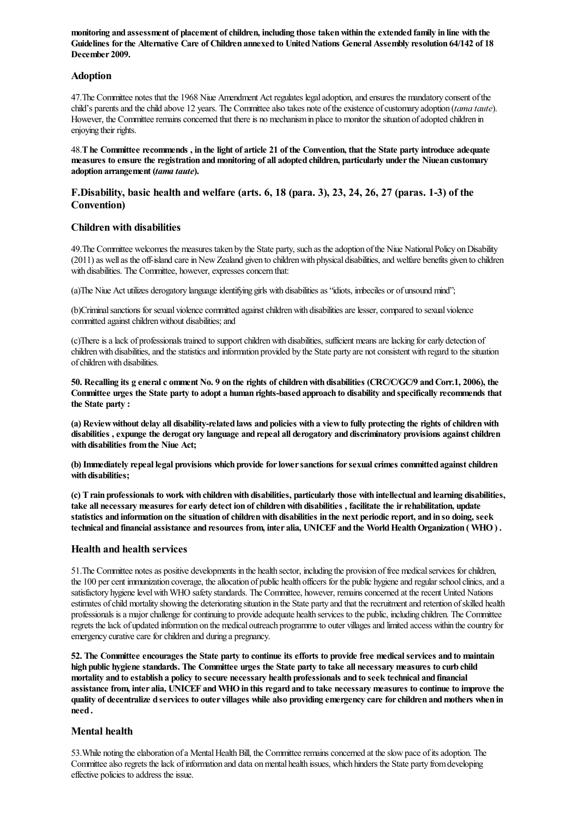monitoring and assessment of placement of children, including those taken within the extended family in line with the **Guidelines forthe Alternative Care of Children annexed to UnitedNations General Assembly resolution 64/142 of 18 December 2009.**

# **Adoption**

47.The Committee notes that the 1968 Niue Amendment Act regulates legaladoption,and ensures the mandatory consent ofthe child's parentsand thechild above 12 years. The Committeealso takes note oftheexistence ofcustomary adoption (*tama taute*). However, the Committee remains concerned that there is no mechanism in place to monitor the situation of adopted children in enjoying their rights.

48. The Committee recommends, in the light of article 21 of the Convention, that the State party introduce adequate **measures to ensure the registration andmonitoring of all adopted children, particularly underthe Niuean customary adoption arrangement (***tama taute***).**

# **F.Disability, basic health and welfare (arts. 6, 18 (para. 3), 23, 24, 26, 27 (paras. 1-3) of the Convention)**

# **Children with disabilities**

49. The Committee welcomes the measures taken by the State party, such as the adoption of the Niue National Policy on Disability (2011) as well as the off-island care in New Zealand given to children with physical disabilities, and welfare benefits given to children with disabilities. The Committee, however, expresses concern that:

(a)The Niue Act utilizes derogatory language identifying girls with disabilities as "idiots, imbeciles or of unsound mind";

(b)Criminal sanctions for sexual violence committed against children with disabilities are lesser, compared to sexual violence committed against children without disabilities; and

(c)Thereisalack of professionals trained to supportchildrenwith disabilities, sufficientmeansarelacking forearly detection of children with disabilities, and the statistics and information provided by the State party are not consistent with regard to the situation of children with disabilities.

50. Recalling its g eneral c omment No. 9 on the rights of children with disabilities (CRC/C/GC/9 and Corr.1, 2006), the Committee urges the State party to adopt a human rights-based approach to disability and specifically recommends that **the State party :**

(a) Review without delay all disability-related laws and policies with a view to fully protecting the rights of children with **disabilities ,expunge the derogat ory language and repeal all derogatory and discriminatory provisions againstchildren with disabilities fromthe Niue Act;**

**(b) Immediately repeal legal provisions which provide forlowersanctions forsexualcrimes committed againstchildren with disabilities;**

(c) T rain professionals to work with children with disabilities, particularly those with intellectual and learning disabilities, **take all necessary measures forearly detect ion ofchildrenwith disabilities , facilitate the irrehabilitation, update** statistics and information on the situation of children with disabilities in the next periodic report, and in so doing, seek technical and financial assistance and resources from, inter alia, UNICEF and the World Health Organization (WHO).

# **Health and health services**

51.The Committee notesas positive developments in the health sector, including the provision offree medicalservices forchildren, the 100 per cent immunization coverage, the allocation of public health officers for the public hygiene and regular school clinics, and a satisfactory hygiene level with WHO safety standards. The Committee, however, remains concerned at the recent United Nations estimates of child mortality showing the deteriorating situation in the State party and that the recruitment and retention of skilled health professionals is a major challenge for continuing to provide adequate health services to the public, including children. The Committee regrets thelack of updated information on the medical outreach programmeto outer villagesand limited access within thecountry for emergency curative care for children and during a pregnancy.

52. The Committee encourages the State party to continue its efforts to provide free medical services and to maintain high public hygiene standards. The Committee urges the State party to take all necessary measures to curb child mortality and to establish a policy to secure necessary health professionals and to seek technical and financial assistance from, inter alia, UNICEF and WHO in this regard and to take necessary measures to continue to improve the quality of decentralize d services to outer villages while also providing emergency care for children and mothers when in **need .**

# **Mental health**

53. While noting the elaboration of a Mental Health Bill, the Committee remains concerned at the slow pace of its adoption. The Committee also regrets the lack of information and data on mental health issues, which hinders the State party from developing effective policies to address the issue.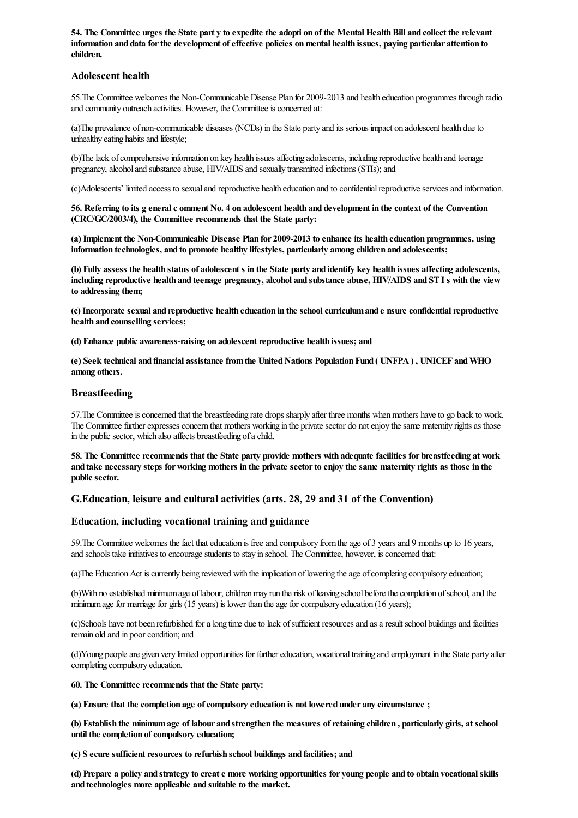54. The Committee urges the State part y to expedite the adopti on of the Mental Health Bill and collect the relevant **information and data forthe development ofeffective policies onmental health issues, paying particular attention to children.**

#### **Adolescent health**

55.The Committee welcomes the Non-Communicable Disease Plan for 2009-2013 and health education programmes through radio and community outreach activities. However, the Committee is concerned at:

(a)The prevalence of non-communicable diseases (NCDs) in the State party and its serious impact on adolescent health dueto unhealthy eating habits and lifestyle;

(b)The lack of comprehensive information on key health issues affecting adolescents, including reproductive health and teenage pregnancy, alcohol and substance abuse, HIV/AIDS and sexually transmitted infections (STIs); and

(c)Adolescents' limited access to sexualand reproductive health education and to confidentialreproductiveservicesand information.

56. Referring to its g eneral c omment No. 4 on adolescent health and development in the context of the Convention **(CRC/GC/2003/4), the Committee recommends that the State party:**

**(a) Implement the Non-Communicable Disease Plan for 2009-2013 to enhance its health education programmes, using information technologies, and to promote healthy lifestyles, particularly among children and adolescents;**

(b) Fully assess the health status of adolescent s in the State party and identify key health issues affecting adolescents, including reproductive health and teenage pregnancy, alcohol and substance abuse, HIV/AIDS and ST I s with the view **to addressing them;**

**(c) Incorporate sexual and reproductive health education in the schoolcurriculumand e nsure confidentialreproductive health and counselling services;**

**(d) Enhance public awareness-raising on adolescentreproductive health issues; and**

**(e) Seek technical and financial assistance fromthe UnitedNations PopulationFund ( UNFPA) , UNICEF andWHO among others.**

#### **Breastfeeding**

57. The Committee is concerned that the breastfeeding rate drops sharply after three months when mothers have to go back to work. The Committee further expresses concern that mothers working in the private sector do not enjoy the same maternity rights as those in the public sector, which also affects breastfeeding of a child.

58. The Committee recommends that the State party provide mothers with adequate facilities for breastfeeding at work and take necessary steps for working mothers in the private sector to enjoy the same maternity rights as those in the public sector.

# **G.Education, leisure and cultural activities (arts. 28, 29 and 31 of the Convention)**

#### **Education, including vocational training and guidance**

59. The Committee welcomes the fact that education is free and compulsory from the age of 3 years and 9 months up to 16 years, and schools take initiatives to encourage students to stay in school. The Committee, however, is concerned that:

(a)The Education Act is currently being reviewed with the implication of lowering the age of completing compulsory education;

(b)With no established minimum age of labour, children may run the risk of leaving school before the completion of school, and the minimum age for marriage for girls  $(15 \text{ years})$  is lower than the age for compulsory education  $(16 \text{ years})$ ;

(c)Schools have not been refurbished foralong time dueto lack ofsufficient resourcesand asaresultschool buildingsand facilities remain old and in poor condition; and

(d)Young peopleare given very limited opportunities for furthereducation, vocationaltraining and employment in the State party after completing compulsory education.

**60. The Committee recommends that the State party:**

**(a) Ensure that the completion age ofcompulsory education is not lowered under any circumstance ;**

(b) Establish the minimum age of labour and strengthen the measures of retaining children, particularly girls, at school  $t$  **until** the completion of compulsory education;

 $(c)$  **S** ecure sufficient resources to refurbish school buildings and facilities; and

(d) Prepare a policy and strategy to creat e more working opportunities for young people and to obtain vocational skills **and technologies more applicable and suitable to the market.**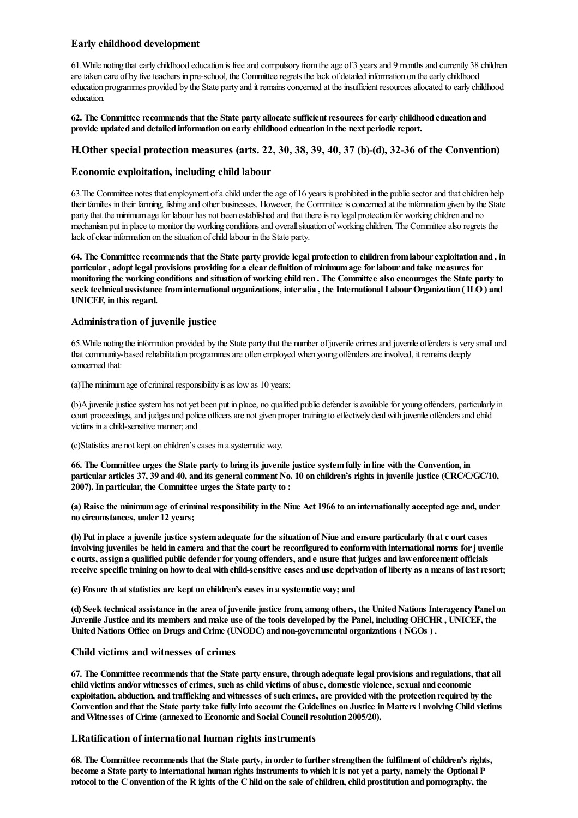# **Early childhood development**

61.While noting thatearly childhood education is freeand compulsory fromtheage of 3 yearsand 9 monthsand currently 38 children are taken care of by five teachers in pre-school, the Committee regrets the lack of detailed information on the early childhood education programmes provided by the State party and it remains concerned at the insufficient resources allocated to early childhood education.

**62. The Committee recommends that the State party allocate sufficientresources forearly childhood education and provide updated and detailed information on early childhood education in the next periodicreport.**

#### **H.Otherspecial protection measures (arts. 22, 30, 38, 39, 40, 37 (b)-(d), 32-36 of the Convention)**

# **Economic exploitation, including child labour**

63. The Committee notes that employment of a child under the age of 16 years is prohibited in the public sector and that children help their families in their farming, fishing and other businesses. However, the Committee is concerned at the information given by the State party that the minimum age for labour has not been established and that there is no legal protection for working children and no mechanism put in place to monitor the working conditions and overall situation of working children. The Committee also regrets the lack of clear information on the situation of child labour in the State party.

64. The Committee recommends that the State party provide legal protection to children from labour exploitation and, in particular, adopt legal provisions providing for a clear definition of minimum age for labour and take measures for monitoring the working conditions and situation of working child ren. The Committee also encourages the State party to **seek technical assistance frominternational organizations, inter alia , the International LabourOrganization ( ILO) and UNICEF, in this regard.**

# **Administration of juvenile justice**

65. While noting the information provided by the State party that the number of juvenile crimes and juvenile offenders is very small and that community-based rehabilitation programmes are often employed when young offenders are involved, it remains deeply concerned that:

 $(a)$ The minimum age of criminal responsibility is as low as 10 years;

(b)A juvenile justice system has not yet been put in place, no qualified public defender is available for young offenders, particularly in court proceedings, and judges and police officers are not given proper training to effectively deal with juvenile offenders and child victims in achild-sensitive manner;and

(c)Statistics are not kept on children's cases in a systematic way.

66. The Committee urges the State party to bring its juvenile justice system fully in line with the Convention, in particular articles 37, 39 and 40, and its general comment No. 10 on children's rights in juvenile justice (CRC/C/GC/10, **2007). In particular, the Committee urges the State party to :**

(a) Raise the minimum age of criminal responsibility in the Niue Act 1966 to an internationally accepted age and, under **no circumstances, under 12 years;**

(b) Put in place a juvenile justice system adequate for the situation of Niue and ensure particularly th at c ourt cases involving juveniles be held in camera and that the court be reconfigured to conform with international norms for juvenile c ourts, assign a qualified public defender for young offenders, and e nsure that judges and law enforcement officials receive specific training on how to deal with child-sensitive cases and use deprivation of liberty as a means of last resort:

**(c) Ensure th at statistics are kept on children's cases in a systematic way; and**

(d) Seek technical assistance in the area of juvenile justice from, among others, the United Nations Interagency Panel on Juvenile Justice and its members and make use of the tools developed by the Panel, including OHCHR, UNICEF, the **UnitedNations Office onDrugs andCrime (UNODC) and non-governmental organizations ( NGOs ) .**

#### **Child victims and witnesses of crimes**

67. The Committee recommends that the State party ensure, through adequate legal provisions and regulations, that all **child victims and/orwitnesses ofcrimes, such as child victims of abuse, domestic violence, sexual and economic exploitation, abduction, and trafficking andwitnesses of such crimes, are providedwith the protection required by the** Convention and that the State party take fully into account the Guidelines on Justice in Matters i nyolving Child victims **andWitnesses of Crime (annexed to Economic and Social Councilresolution 2005/20).**

#### **I.Ratification of international human rights instruments**

**68. The Committee recommends that the State party, in orderto furtherstrengthen the fulfilment ofchildren's rights,** become a State party to international human rights instruments to which it is not yet a party, namely the Optional P rotocol to the C onvention of the R ights of the C hild on the sale of children, child prostitution and pornography, the